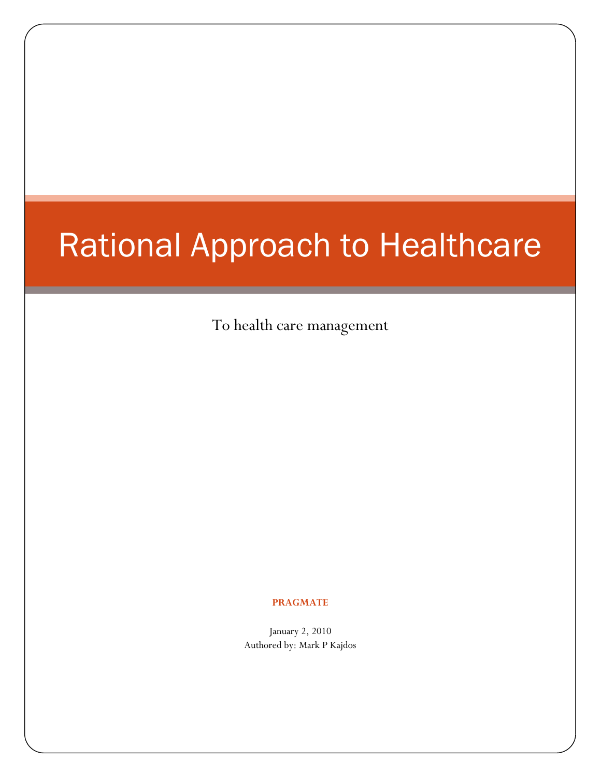# Rational Approach to Healthcare

To health care management

#### **PRAGMATE**

January 2, 2010 Authored by: Mark P Kajdos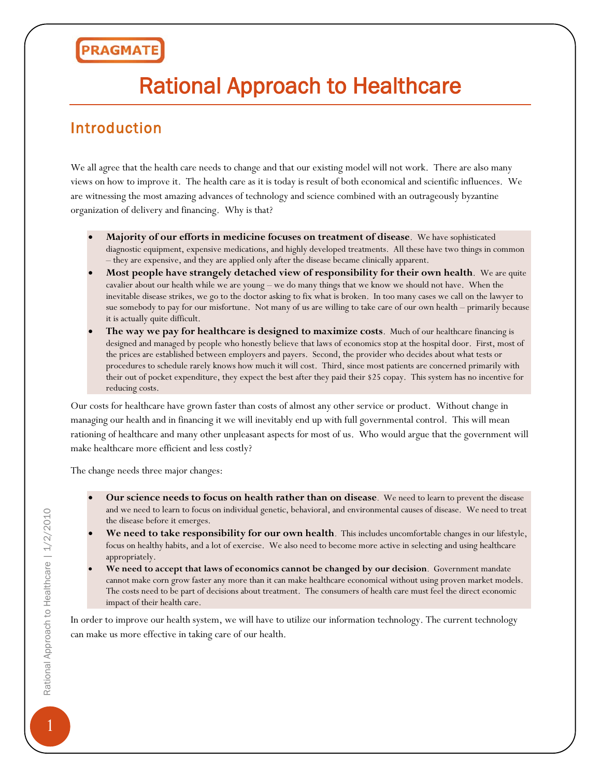# Rational Approach to Healthcare

#### Introduction

We all agree that the health care needs to change and that our existing model will not work. There are also many views on how to improve it. The health care as it is today is result of both economical and scientific influences. We are witnessing the most amazing advances of technology and science combined with an outrageously byzantine organization of delivery and financing. Why is that?

- **Majority of our efforts in medicine focuses on treatment of disease**. We have sophisticated diagnostic equipment, expensive medications, and highly developed treatments. All these have two things in common – they are expensive, and they are applied only after the disease became clinically apparent.
- **Most people have strangely detached view of responsibility for their own health**. We are quite cavalier about our health while we are young – we do many things that we know we should not have. When the inevitable disease strikes, we go to the doctor asking to fix what is broken. In too many cases we call on the lawyer to sue somebody to pay for our misfortune. Not many of us are willing to take care of our own health – primarily because it is actually quite difficult.
- **The way we pay for healthcare is designed to maximize costs**. Much of our healthcare financing is designed and managed by people who honestly believe that laws of economics stop at the hospital door. First, most of the prices are established between employers and payers. Second, the provider who decides about what tests or procedures to schedule rarely knows how much it will cost. Third, since most patients are concerned primarily with their out of pocket expenditure, they expect the best after they paid their \$25 copay. This system has no incentive for reducing costs.

Our costs for healthcare have grown faster than costs of almost any other service or product. Without change in managing our health and in financing it we will inevitably end up with full governmental control. This will mean rationing of healthcare and many other unpleasant aspects for most of us. Who would argue that the government will make healthcare more efficient and less costly?

The change needs three major changes:

- **Our science needs to focus on health rather than on disease**. We need to learn to prevent the disease and we need to learn to focus on individual genetic, behavioral, and environmental causes of disease. We need to treat the disease before it emerges.
- **We need to take responsibility for our own health**. This includes uncomfortable changes in our lifestyle, focus on healthy habits, and a lot of exercise. We also need to become more active in selecting and using healthcare appropriately.
- **We need to accept that laws of economics cannot be changed by our decision**. Government mandate cannot make corn grow faster any more than it can make healthcare economical without using proven market models. The costs need to be part of decisions about treatment. The consumers of health care must feel the direct economic impact of their health care.

In order to improve our health system, we will have to utilize our information technology. The current technology can make us more effective in taking care of our health.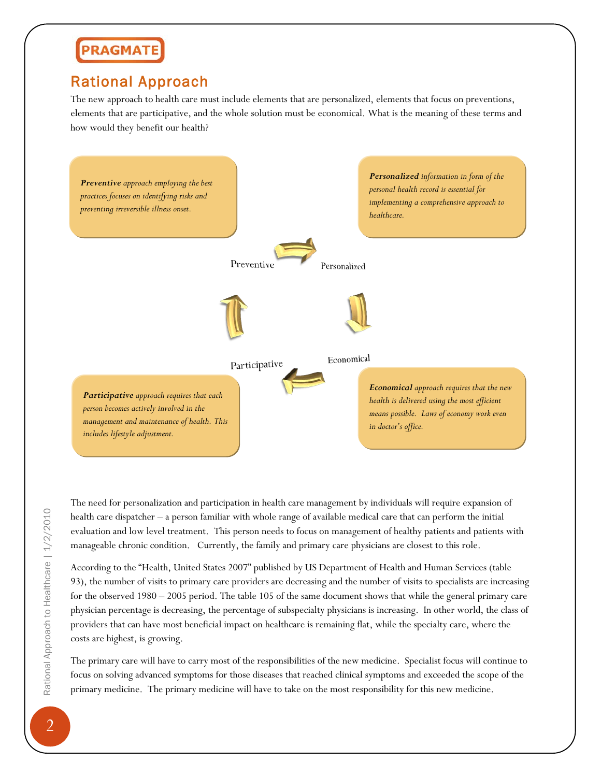#### Rational Approach

The new approach to health care must include elements that are personalized, elements that focus on preventions, elements that are participative, and the whole solution must be economical. What is the meaning of these terms and how would they benefit our health?



The need for personalization and participation in health care management by individuals will require expansion of health care dispatcher – a person familiar with whole range of available medical care that can perform the initial evaluation and low level treatment. This person needs to focus on management of healthy patients and patients with manageable chronic condition. Currently, the family and primary care physicians are closest to this role.

According to the "Health, United States 2007" published by US Department of Health and Human Services (table 93), the number of visits to primary care providers are decreasing and the number of visits to specialists are increasing for the observed 1980 – 2005 period. The table 105 of the same document shows that while the general primary care physician percentage is decreasing, the percentage of subspecialty physicians is increasing. In other world, the class of providers that can have most beneficial impact on healthcare is remaining flat, while the specialty care, where the costs are highest, is growing.

The primary care will have to carry most of the responsibilities of the new medicine. Specialist focus will continue to focus on solving advanced symptoms for those diseases that reached clinical symptoms and exceeded the scope of the primary medicine. The primary medicine will have to take on the most responsibility for this new medicine.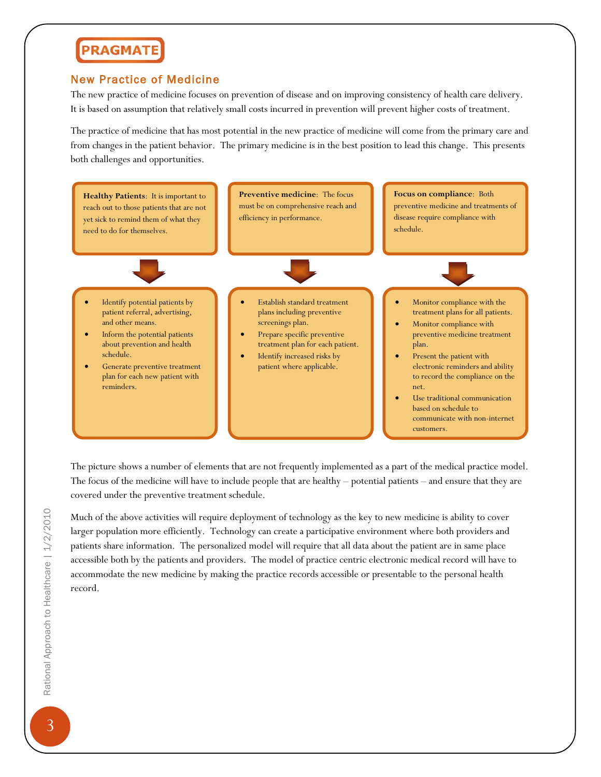#### New Practice of Medicine

The new practice of medicine focuses on prevention of disease and on improving consistency of health care delivery. It is based on assumption that relatively small costs incurred in prevention will prevent higher costs of treatment.

The practice of medicine that has most potential in the new practice of medicine will come from the primary care and from changes in the patient behavior. The primary medicine is in the best position to lead this change. This presents both challenges and opportunities.



The picture shows a number of elements that are not frequently implemented as a part of the medical practice model. The focus of the medicine will have to include people that are healthy – potential patients – and ensure that they are covered under the preventive treatment schedule.

Much of the above activities will require deployment of technology as the key to new medicine is ability to cover larger population more efficiently. Technology can create a participative environment where both providers and patients share information. The personalized model will require that all data about the patient are in same place accessible both by the patients and providers. The model of practice centric electronic medical record will have to accommodate the new medicine by making the practice records accessible or presentable to the personal health record.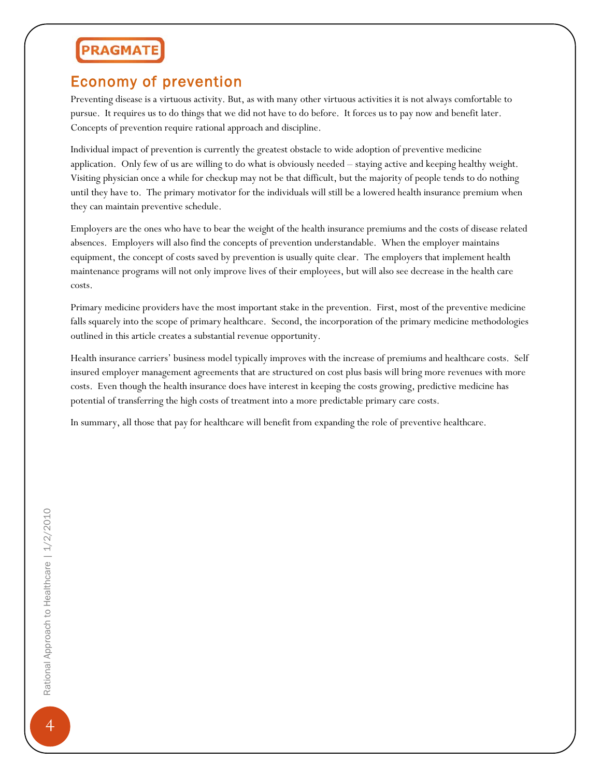#### Economy of prevention

Preventing disease is a virtuous activity. But, as with many other virtuous activities it is not always comfortable to pursue. It requires us to do things that we did not have to do before. It forces us to pay now and benefit later. Concepts of prevention require rational approach and discipline.

Individual impact of prevention is currently the greatest obstacle to wide adoption of preventive medicine application. Only few of us are willing to do what is obviously needed – staying active and keeping healthy weight. Visiting physician once a while for checkup may not be that difficult, but the majority of people tends to do nothing until they have to. The primary motivator for the individuals will still be a lowered health insurance premium when they can maintain preventive schedule.

Employers are the ones who have to bear the weight of the health insurance premiums and the costs of disease related absences. Employers will also find the concepts of prevention understandable. When the employer maintains equipment, the concept of costs saved by prevention is usually quite clear. The employers that implement health maintenance programs will not only improve lives of their employees, but will also see decrease in the health care costs.

Primary medicine providers have the most important stake in the prevention. First, most of the preventive medicine falls squarely into the scope of primary healthcare. Second, the incorporation of the primary medicine methodologies outlined in this article creates a substantial revenue opportunity.

Health insurance carriers' business model typically improves with the increase of premiums and healthcare costs. Self insured employer management agreements that are structured on cost plus basis will bring more revenues with more costs. Even though the health insurance does have interest in keeping the costs growing, predictive medicine has potential of transferring the high costs of treatment into a more predictable primary care costs.

In summary, all those that pay for healthcare will benefit from expanding the role of preventive healthcare.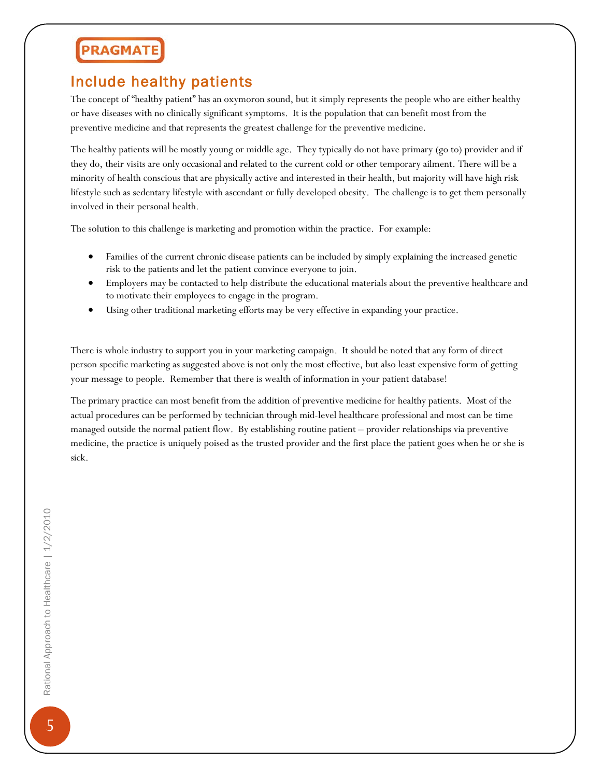#### Include healthy patients

The concept of "healthy patient" has an oxymoron sound, but it simply represents the people who are either healthy or have diseases with no clinically significant symptoms. It is the population that can benefit most from the preventive medicine and that represents the greatest challenge for the preventive medicine.

The healthy patients will be mostly young or middle age. They typically do not have primary (go to) provider and if they do, their visits are only occasional and related to the current cold or other temporary ailment. There will be a minority of health conscious that are physically active and interested in their health, but majority will have high risk lifestyle such as sedentary lifestyle with ascendant or fully developed obesity. The challenge is to get them personally involved in their personal health.

The solution to this challenge is marketing and promotion within the practice. For example:

- Families of the current chronic disease patients can be included by simply explaining the increased genetic risk to the patients and let the patient convince everyone to join.
- Employers may be contacted to help distribute the educational materials about the preventive healthcare and to motivate their employees to engage in the program.
- Using other traditional marketing efforts may be very effective in expanding your practice.

There is whole industry to support you in your marketing campaign. It should be noted that any form of direct person specific marketing as suggested above is not only the most effective, but also least expensive form of getting your message to people. Remember that there is wealth of information in your patient database!

The primary practice can most benefit from the addition of preventive medicine for healthy patients. Most of the actual procedures can be performed by technician through mid-level healthcare professional and most can be time managed outside the normal patient flow. By establishing routine patient – provider relationships via preventive medicine, the practice is uniquely poised as the trusted provider and the first place the patient goes when he or she is sick.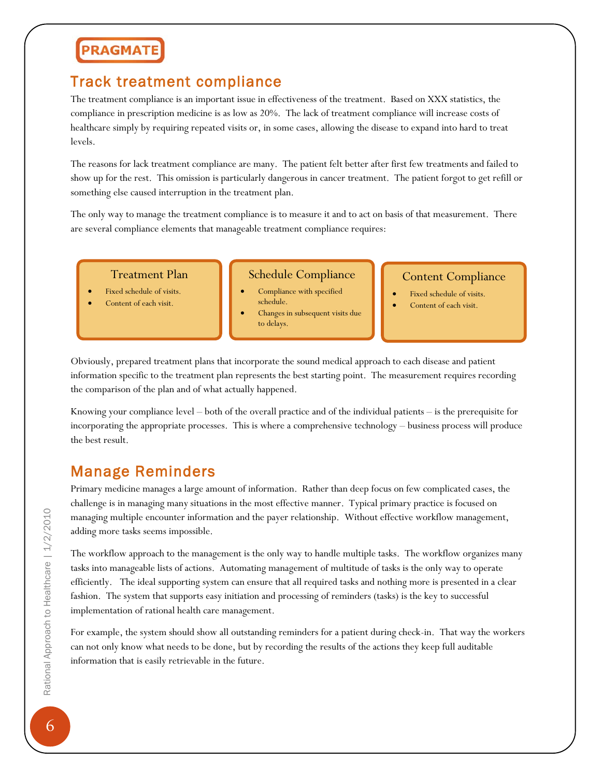#### Track treatment compliance

The treatment compliance is an important issue in effectiveness of the treatment. Based on XXX statistics, the compliance in prescription medicine is as low as 20%. The lack of treatment compliance will increase costs of healthcare simply by requiring repeated visits or, in some cases, allowing the disease to expand into hard to treat levels.

The reasons for lack treatment compliance are many. The patient felt better after first few treatments and failed to show up for the rest. This omission is particularly dangerous in cancer treatment. The patient forgot to get refill or something else caused interruption in the treatment plan.

The only way to manage the treatment compliance is to measure it and to act on basis of that measurement. There are several compliance elements that manageable treatment compliance requires:

Treatment Plan

- Fixed schedule of visits.
- Content of each visit.

#### Schedule Compliance

Compliance with specified schedule. • Changes in subsequent visits due to delays.

#### Content Compliance

- Fixed schedule of visits.
- Content of each visit.

Obviously, prepared treatment plans that incorporate the sound medical approach to each disease and patient information specific to the treatment plan represents the best starting point. The measurement requires recording the comparison of the plan and of what actually happened.

Knowing your compliance level – both of the overall practice and of the individual patients – is the prerequisite for incorporating the appropriate processes. This is where a comprehensive technology – business process will produce the best result.

#### Manage Reminders

Primary medicine manages a large amount of information. Rather than deep focus on few complicated cases, the challenge is in managing many situations in the most effective manner. Typical primary practice is focused on managing multiple encounter information and the payer relationship. Without effective workflow management, adding more tasks seems impossible.

The workflow approach to the management is the only way to handle multiple tasks. The workflow organizes many tasks into manageable lists of actions. Automating management of multitude of tasks is the only way to operate efficiently. The ideal supporting system can ensure that all required tasks and nothing more is presented in a clear fashion. The system that supports easy initiation and processing of reminders (tasks) is the key to successful implementation of rational health care management.

For example, the system should show all outstanding reminders for a patient during check-in. That way the workers can not only know what needs to be done, but by recording the results of the actions they keep full auditable information that is easily retrievable in the future.